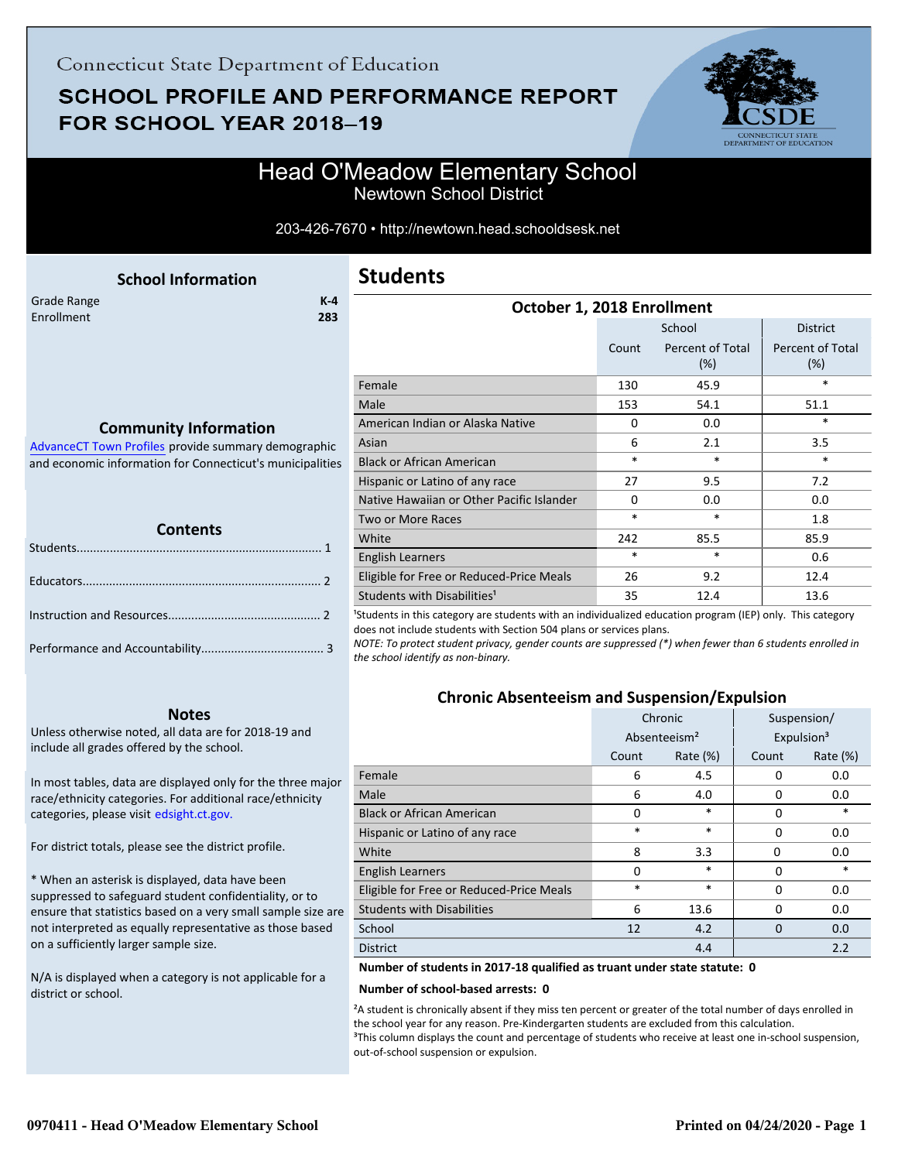## **SCHOOL PROFILE AND PERFORMANCE REPORT** FOR SCHOOL YEAR 2018-19



### Head O'Meadow Elementary School Newtown School District

203-426-7670 • http://newtown.head.schooldsesk.net

<span id="page-0-0"></span>

|             | <b>School Information</b> |         |
|-------------|---------------------------|---------|
| Grade Range |                           | $K - 4$ |
| Enrollment  |                           | 283     |
|             |                           |         |

### **Students**

| October 1, 2018 Enrollment                                                                                                                                        |          |                            |                                       |  |  |
|-------------------------------------------------------------------------------------------------------------------------------------------------------------------|----------|----------------------------|---------------------------------------|--|--|
|                                                                                                                                                                   |          | School                     | <b>District</b>                       |  |  |
|                                                                                                                                                                   | Count    | Percent of Total<br>$(\%)$ | <b>Percent of Total</b><br>(%)        |  |  |
| Female                                                                                                                                                            | 130      | 45.9                       | *                                     |  |  |
| Male                                                                                                                                                              | 153      | 54.1                       | 51.1                                  |  |  |
| American Indian or Alaska Native                                                                                                                                  | 0        | 0.0                        | *                                     |  |  |
| Asian                                                                                                                                                             | 6        | 2.1                        | 3.5                                   |  |  |
| <b>Black or African American</b>                                                                                                                                  | $\ast$   | *                          | $\ast$                                |  |  |
| Hispanic or Latino of any race                                                                                                                                    | 27       | 9.5                        | 7.2                                   |  |  |
| Native Hawaiian or Other Pacific Islander                                                                                                                         | $\Omega$ | 0.0                        | 0.0                                   |  |  |
| <b>Two or More Races</b>                                                                                                                                          | $\ast$   | *                          | 1.8                                   |  |  |
| White                                                                                                                                                             | 242      | 85.5                       | 85.9                                  |  |  |
| <b>English Learners</b>                                                                                                                                           | $\ast$   | $\ast$                     | 0.6                                   |  |  |
| Eligible for Free or Reduced-Price Meals                                                                                                                          | 26       | 9.2                        | 12.4                                  |  |  |
| Students with Disabilities <sup>1</sup><br>الموارد والمستحقق والمستقرق والمستحدث والمستحقق والمستحقق والمستقلة والمستقلة والمستحققة والمستحقة والمستحقة والمستحقة | 35       | 12.4                       | 13.6<br>$\lambda = -1$ $\lambda = -1$ |  |  |

<sup>1</sup>Students in this category are students with an individualized education program (IEP) only. This category does not include students with Section 504 plans or services plans.

*NOTE: To protect student privacy, gender counts are suppressed (\*) when fewer than 6 students enrolled in the school identify as non-binary.*

### **Chronic Absenteeism and Suspension/Expulsion**

|                                          | Chronic                  |             | Suspension/ |                        |
|------------------------------------------|--------------------------|-------------|-------------|------------------------|
|                                          | Absenteeism <sup>2</sup> |             |             | Expulsion <sup>3</sup> |
|                                          | Count                    | Rate $(\%)$ | Count       | Rate $(\%)$            |
| Female                                   | 6                        | 4.5         | $\Omega$    | 0.0                    |
| Male                                     | 6                        | 4.0         | 0           | 0.0                    |
| <b>Black or African American</b>         | 0                        | $\ast$      | $\Omega$    | *                      |
| Hispanic or Latino of any race           | *                        | $\ast$      | 0           | 0.0                    |
| White                                    | 8                        | 3.3         | 0           | 0.0                    |
| <b>English Learners</b>                  | $\Omega$                 | $\ast$      | $\Omega$    | *                      |
| Eligible for Free or Reduced-Price Meals | $\ast$                   | $\ast$      | 0           | 0.0                    |
| <b>Students with Disabilities</b>        | 6                        | 13.6        | 0           | 0.0                    |
| School                                   | 12                       | 4.2         | $\Omega$    | 0.0                    |
| <b>District</b>                          | 4.4                      |             |             | 2.2                    |

**Number of students in 2017-18 qualified as truant under state statute: 0**

#### **Number of school-based arrests: 0**

²A student is chronically absent if they miss ten percent or greater of the total number of days enrolled in the school year for any reason. Pre-Kindergarten students are excluded from this calculation. <sup>3</sup>This column displays the count and percentage of students who receive at least one in-school suspension, out-of-school suspension or expulsion.

#### **Community Information**

AdvanceCT Town Profiles provide summary demographic  [and economic information for Connecticut's municipalities](http://www.cerc.com/townprofiles/)

| <b>TELEVISION</b><br><b>Contents</b> |  |  |  |
|--------------------------------------|--|--|--|
|                                      |  |  |  |
|                                      |  |  |  |
|                                      |  |  |  |
|                                      |  |  |  |

#### **Notes**

Unless otherwise noted, all data are for 2018-19 and include all grades offered by the school.

[In most tables, data are displayed only for the three major](http://edsight.ct.gov/) race/ethnicity categories. For additional race/ethnicity categories, please visit edsight.ct.gov.

For district totals, please see the district profile.

\* When an asterisk is displayed, data have been suppressed to safeguard student confidentiality, or to ensure that statistics based on a very small sample size are not interpreted as equally representative as those based on a sufficiently larger sample size.

N/A is displayed when a category is not applicable for a district or school.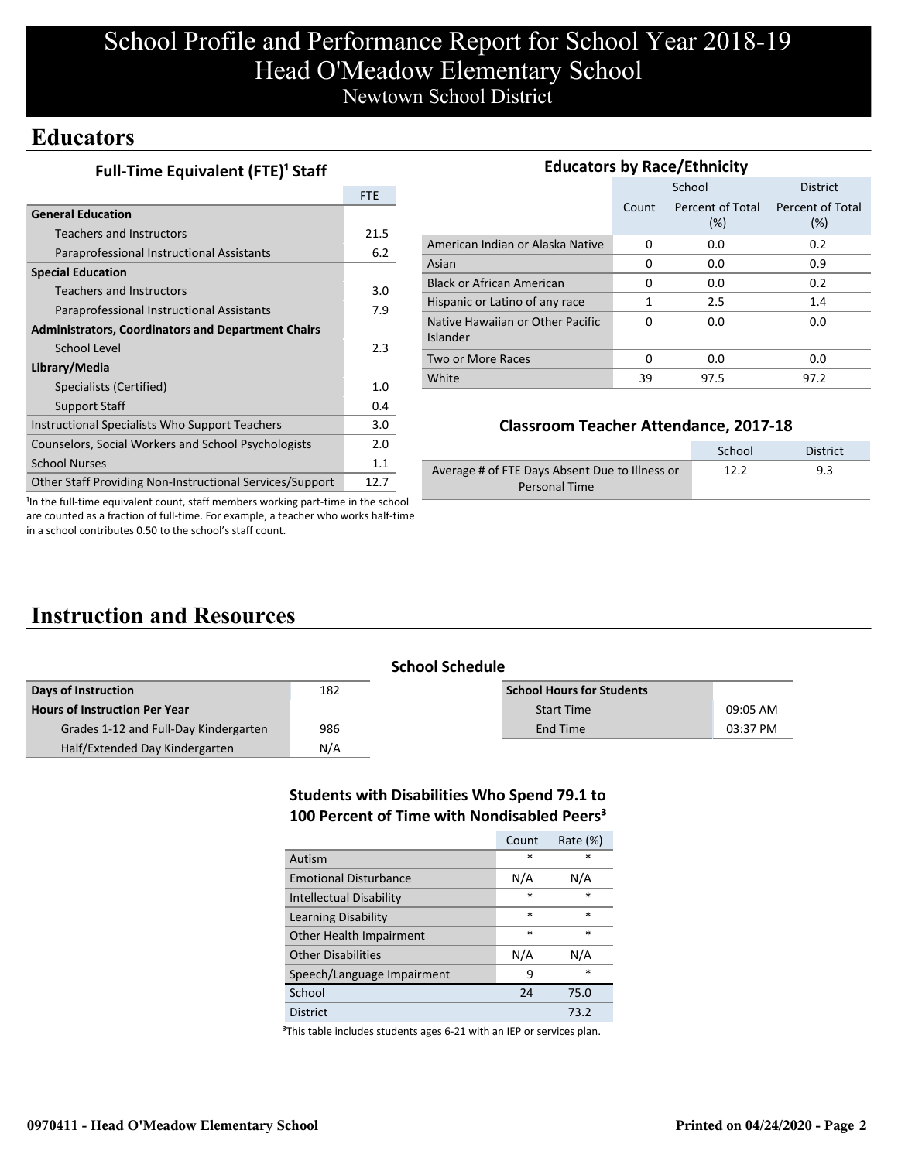# School Profile and Performance Report for School Year 2018-19 Head O'Meadow Elementary School Newtown School District

### **Educators**

| Full-Time Equivalent (FTE) <sup>1</sup> Staff |  |
|-----------------------------------------------|--|
|-----------------------------------------------|--|

|                                                           | <b>FTE</b> |
|-----------------------------------------------------------|------------|
| <b>General Education</b>                                  |            |
| Teachers and Instructors                                  | 21.5       |
| Paraprofessional Instructional Assistants                 | 6.2        |
| <b>Special Education</b>                                  |            |
| <b>Teachers and Instructors</b>                           | 3.0        |
| Paraprofessional Instructional Assistants                 | 7.9        |
| <b>Administrators, Coordinators and Department Chairs</b> |            |
| School Level                                              | 2.3        |
| Library/Media                                             |            |
| Specialists (Certified)                                   | 1.0        |
| <b>Support Staff</b>                                      | 0.4        |
| Instructional Specialists Who Support Teachers            | 3.0        |
| Counselors, Social Workers and School Psychologists       | 2.0        |
| <b>School Nurses</b>                                      | 1.1        |
| Other Staff Providing Non-Instructional Services/Support  | 12.7       |

| <b>Educators by Race/Ethnicity</b>           |       |                         |                         |  |  |  |
|----------------------------------------------|-------|-------------------------|-------------------------|--|--|--|
|                                              |       | School                  | <b>District</b>         |  |  |  |
|                                              | Count | Percent of Total<br>(%) | Percent of Total<br>(%) |  |  |  |
| American Indian or Alaska Native             | 0     | 0.0                     | 0.2                     |  |  |  |
| Asian                                        | 0     | 0.0                     | 0.9                     |  |  |  |
| <b>Black or African American</b>             | 0     | 0.0                     | 0.2                     |  |  |  |
| Hispanic or Latino of any race               | 1     | 2.5                     | 1.4                     |  |  |  |
| Native Hawaiian or Other Pacific<br>Islander | 0     | 0.0                     | 0.0                     |  |  |  |
| Two or More Races                            | 0     | 0.0                     | 0.0                     |  |  |  |
| White                                        | 39    | 97.5                    | 97.2                    |  |  |  |

### **Classroom Teacher Attendance, 2017-18**

|                                                | School | District |
|------------------------------------------------|--------|----------|
| Average # of FTE Days Absent Due to Illness or | 12.2   | 9.3      |
| Personal Time                                  |        |          |

<sup>1</sup>In the full-time equivalent count, staff members working part-time in the school are counted as a fraction of full-time. For example, a teacher who works half-time in a school contributes 0.50 to the school's staff count.

# **Instruction and Resources**

| <b>School Schedule</b> |  |
|------------------------|--|
|------------------------|--|

| Days of Instruction                   | 182 | <b>School Hours for Students</b> |          |
|---------------------------------------|-----|----------------------------------|----------|
| <b>Hours of Instruction Per Year</b>  |     | <b>Start Time</b>                | 09:05 AM |
| Grades 1-12 and Full-Day Kindergarten | 986 | End Time                         | 03:37 PM |
| Half/Extended Day Kindergarten        | N/A |                                  |          |

### **Students with Disabilities Who Spend 79.1 to 100 Percent of Time with Nondisabled Peers³**

|                                | Count  | Rate $(\%)$ |
|--------------------------------|--------|-------------|
| Autism                         | *      | $\ast$      |
| <b>Emotional Disturbance</b>   | N/A    | N/A         |
| <b>Intellectual Disability</b> | $\ast$ | $\ast$      |
| Learning Disability            | $\ast$ | $\ast$      |
| Other Health Impairment        | $\ast$ | $\ast$      |
| <b>Other Disabilities</b>      | N/A    | N/A         |
| Speech/Language Impairment     | 9      | *           |
| School                         | 24     | 75.0        |
| <b>District</b>                |        | 73.2        |

<sup>3</sup>This table includes students ages 6-21 with an IEP or services plan.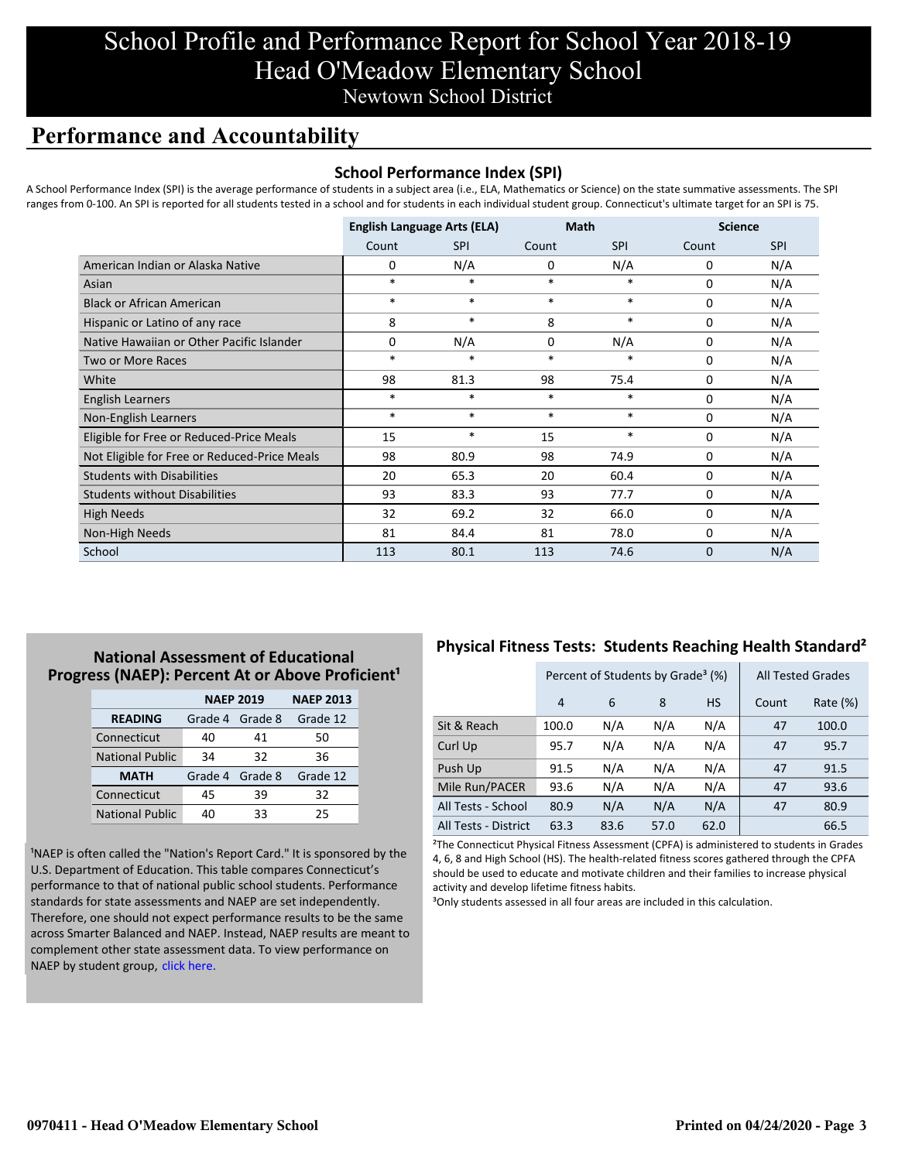# School Profile and Performance Report for School Year 2018-19 Head O'Meadow Elementary School Newtown School District

## **Performance and Accountability**

### **School Performance Index (SPI)**

A School Performance Index (SPI) is the average performance of students in a subject area (i.e., ELA, Mathematics or Science) on the state summative assessments. The SPI ranges from 0-100. An SPI is reported for all students tested in a school and for students in each individual student group. Connecticut's ultimate target for an SPI is 75.

|                                              | <b>English Language Arts (ELA)</b> |            | <b>Math</b> |            | <b>Science</b> |            |
|----------------------------------------------|------------------------------------|------------|-------------|------------|----------------|------------|
|                                              | Count                              | <b>SPI</b> | Count       | <b>SPI</b> | Count          | <b>SPI</b> |
| American Indian or Alaska Native             | 0                                  | N/A        | 0           | N/A        | 0              | N/A        |
| Asian                                        | $*$                                | $\ast$     | $\ast$      | $\ast$     | $\Omega$       | N/A        |
| <b>Black or African American</b>             | $*$                                | $*$        | $\ast$      | $\ast$     | 0              | N/A        |
| Hispanic or Latino of any race               | 8                                  | $\ast$     | 8           | $\ast$     | $\Omega$       | N/A        |
| Native Hawaiian or Other Pacific Islander    | $\Omega$                           | N/A        | $\Omega$    | N/A        | 0              | N/A        |
| <b>Two or More Races</b>                     | $\ast$                             | $\ast$     | $\ast$      | $\ast$     | 0              | N/A        |
| White                                        | 98                                 | 81.3       | 98          | 75.4       | 0              | N/A        |
| English Learners                             | $\ast$                             | $\ast$     | $\ast$      | $\ast$     | 0              | N/A        |
| Non-English Learners                         | $\ast$                             | $\ast$     | $\ast$      | $\ast$     | 0              | N/A        |
| Eligible for Free or Reduced-Price Meals     | 15                                 | $\ast$     | 15          | $\ast$     | 0              | N/A        |
| Not Eligible for Free or Reduced-Price Meals | 98                                 | 80.9       | 98          | 74.9       | 0              | N/A        |
| <b>Students with Disabilities</b>            | 20                                 | 65.3       | 20          | 60.4       | 0              | N/A        |
| <b>Students without Disabilities</b>         | 93                                 | 83.3       | 93          | 77.7       | 0              | N/A        |
| <b>High Needs</b>                            | 32                                 | 69.2       | 32          | 66.0       | 0              | N/A        |
| Non-High Needs                               | 81                                 | 84.4       | 81          | 78.0       | 0              | N/A        |
| School                                       | 113                                | 80.1       | 113         | 74.6       | $\mathbf 0$    | N/A        |

### **National Assessment of Educational Progress (NAEP): Percent At or Above Proficient<sup>1</sup>**

|                        | <b>NAEP 2019</b> | <b>NAEP 2013</b> |          |  |
|------------------------|------------------|------------------|----------|--|
| <b>READING</b>         | Grade 4          | Grade 8          | Grade 12 |  |
| Connecticut            | 40               | 41               | 50       |  |
| <b>National Public</b> | 34               | 32               | 36       |  |
| <b>MATH</b>            | Grade 4 Grade 8  |                  | Grade 12 |  |
| Connecticut            | 45               | 39               | 32       |  |
| <b>National Public</b> | 40               | 33               | 25       |  |

<sup>1</sup>NAEP is often called the "Nation's Report Card." It is sponsored by the U.S. Department of Education. This table compares Connecticut's performance to that of national public school students. Performance standards for state assessments and NAEP are set independently. Therefore, one should not expect performance results to be the same [across Smarter Balanced and NAEP. Instead, NAEP results are meant to](https://portal.ct.gov/-/media/SDE/Student-Assessment/NAEP/report-card_NAEP-2019.pdf?la=en) complement other state assessment data. To view performance on NAEP by student group, click here.

### **Physical Fitness Tests: Students Reaching Health Standard²**

|                      | Percent of Students by Grade <sup>3</sup> (%) |      |      |           | <b>All Tested Grades</b> |             |
|----------------------|-----------------------------------------------|------|------|-----------|--------------------------|-------------|
|                      | 4                                             | 6    | 8    | <b>HS</b> | Count                    | Rate $(\%)$ |
| Sit & Reach          | 100.0                                         | N/A  | N/A  | N/A       | 47                       | 100.0       |
| Curl Up              | 95.7                                          | N/A  | N/A  | N/A       | 47                       | 95.7        |
| Push Up              | 91.5                                          | N/A  | N/A  | N/A       | 47                       | 91.5        |
| Mile Run/PACER       | 93.6                                          | N/A  | N/A  | N/A       | 47                       | 93.6        |
| All Tests - School   | 80.9                                          | N/A  | N/A  | N/A       | 47                       | 80.9        |
| All Tests - District | 63.3                                          | 83.6 | 57.0 | 62.0      |                          | 66.5        |

²The Connecticut Physical Fitness Assessment (CPFA) is administered to students in Grades 4, 6, 8 and High School (HS). The health-related fitness scores gathered through the CPFA should be used to educate and motivate children and their families to increase physical activity and develop lifetime fitness habits.

<sup>3</sup>Only students assessed in all four areas are included in this calculation.